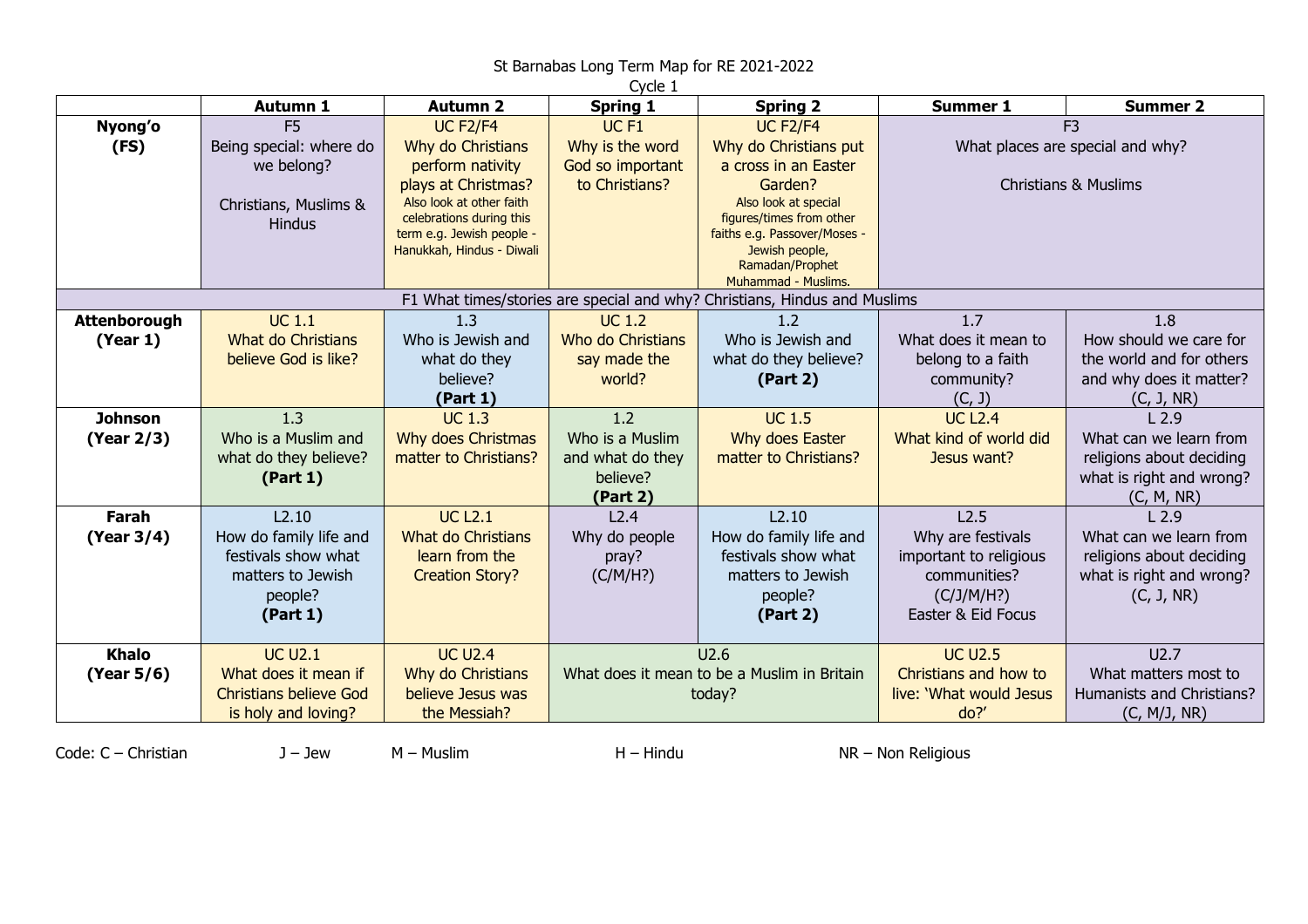## St Barnabas Long Term Map for RE 2021-2022

| Cycle 1                                                                   |                                            |                                                       |                                             |                                                          |                                  |                               |  |  |  |  |
|---------------------------------------------------------------------------|--------------------------------------------|-------------------------------------------------------|---------------------------------------------|----------------------------------------------------------|----------------------------------|-------------------------------|--|--|--|--|
|                                                                           | <b>Autumn 1</b>                            | <b>Autumn 2</b>                                       | Spring 1                                    | <b>Spring 2</b>                                          | <b>Summer 1</b>                  | <b>Summer 2</b>               |  |  |  |  |
| Nyong'o                                                                   | F <sub>5</sub>                             | <b>UC F2/F4</b>                                       | UC <sub>F1</sub>                            | <b>UC F2/F4</b>                                          |                                  | F <sub>3</sub>                |  |  |  |  |
| (FS)                                                                      | Being special: where do                    | Why do Christians                                     | Why is the word                             | Why do Christians put                                    | What places are special and why? |                               |  |  |  |  |
|                                                                           | we belong?                                 | perform nativity                                      | God so important                            | a cross in an Easter                                     |                                  |                               |  |  |  |  |
|                                                                           |                                            | plays at Christmas?                                   | to Christians?                              | Garden?                                                  | <b>Christians &amp; Muslims</b>  |                               |  |  |  |  |
|                                                                           | Christians, Muslims &                      | Also look at other faith                              |                                             | Also look at special                                     |                                  |                               |  |  |  |  |
|                                                                           | <b>Hindus</b>                              | celebrations during this<br>term e.g. Jewish people - |                                             | figures/times from other<br>faiths e.g. Passover/Moses - |                                  |                               |  |  |  |  |
|                                                                           |                                            | Hanukkah, Hindus - Diwali                             |                                             | Jewish people,                                           |                                  |                               |  |  |  |  |
|                                                                           |                                            |                                                       |                                             | Ramadan/Prophet                                          |                                  |                               |  |  |  |  |
|                                                                           |                                            |                                                       |                                             | Muhammad - Muslims.                                      |                                  |                               |  |  |  |  |
| F1 What times/stories are special and why? Christians, Hindus and Muslims |                                            |                                                       |                                             |                                                          |                                  |                               |  |  |  |  |
| <b>Attenborough</b>                                                       | <b>UC 1.1</b><br><b>What do Christians</b> | 1.3<br>Who is Jewish and                              | <b>UC 1.2</b><br><b>Who do Christians</b>   | 1.2<br>Who is Jewish and                                 | 1.7<br>What does it mean to      | 1.8<br>How should we care for |  |  |  |  |
| (Year 1)                                                                  | believe God is like?                       | what do they                                          |                                             | what do they believe?                                    |                                  | the world and for others      |  |  |  |  |
|                                                                           |                                            | believe?                                              | say made the<br>world?                      |                                                          | belong to a faith<br>community?  | and why does it matter?       |  |  |  |  |
|                                                                           |                                            | (Part 1)                                              |                                             | (Part 2)                                                 | (C, J)                           | (C, J, NR)                    |  |  |  |  |
| <b>Johnson</b>                                                            | 1.3                                        | <b>UC 1.3</b>                                         | 1.2                                         | <b>UC 1.5</b>                                            | <b>UC L2.4</b>                   | L <sub>2.9</sub>              |  |  |  |  |
| (Year 2/3)                                                                | Who is a Muslim and                        | Why does Christmas                                    | Who is a Muslim                             | Why does Easter                                          | What kind of world did           | What can we learn from        |  |  |  |  |
|                                                                           | what do they believe?                      | matter to Christians?                                 | and what do they                            | matter to Christians?                                    | Jesus want?                      | religions about deciding      |  |  |  |  |
|                                                                           | (Part 1)                                   |                                                       | believe?                                    |                                                          |                                  | what is right and wrong?      |  |  |  |  |
|                                                                           |                                            |                                                       | (Part 2)                                    |                                                          |                                  | (C, M, NR)                    |  |  |  |  |
| Farah                                                                     | L2.10                                      | <b>UC L2.1</b>                                        | L2.4                                        | L2.10                                                    | L2.5                             | L <sub>2.9</sub>              |  |  |  |  |
| (Year 3/4)                                                                | How do family life and                     | <b>What do Christians</b>                             | Why do people                               | How do family life and                                   | Why are festivals                | What can we learn from        |  |  |  |  |
|                                                                           | festivals show what                        | learn from the                                        | pray?                                       | festivals show what                                      | important to religious           | religions about deciding      |  |  |  |  |
|                                                                           | matters to Jewish                          | <b>Creation Story?</b>                                | (C/M/H?)                                    | matters to Jewish                                        | communities?                     | what is right and wrong?      |  |  |  |  |
|                                                                           | people?                                    |                                                       |                                             | people?                                                  | (C/J/M/H?)                       | (C, J, NR)                    |  |  |  |  |
|                                                                           | (Part 1)                                   |                                                       |                                             | (Part 2)                                                 | Easter & Eid Focus               |                               |  |  |  |  |
|                                                                           |                                            |                                                       |                                             |                                                          |                                  |                               |  |  |  |  |
| <b>Khalo</b>                                                              | <b>UC U2.1</b>                             | <b>UC U2.4</b>                                        | U2.6                                        |                                                          | <b>UC U2.5</b>                   | U2.7                          |  |  |  |  |
| (Year 5/6)                                                                | What does it mean if                       | Why do Christians                                     | What does it mean to be a Muslim in Britain |                                                          | Christians and how to            | What matters most to          |  |  |  |  |
|                                                                           | <b>Christians believe God</b>              | believe Jesus was                                     | today?                                      |                                                          | live: 'What would Jesus          | Humanists and Christians?     |  |  |  |  |
|                                                                           | is holy and loving?                        | the Messiah?                                          |                                             |                                                          | do?                              | (C, M/J, NR)                  |  |  |  |  |

Code: C – Christian J – Jew M – Muslim H – Hindu NR – Non Religious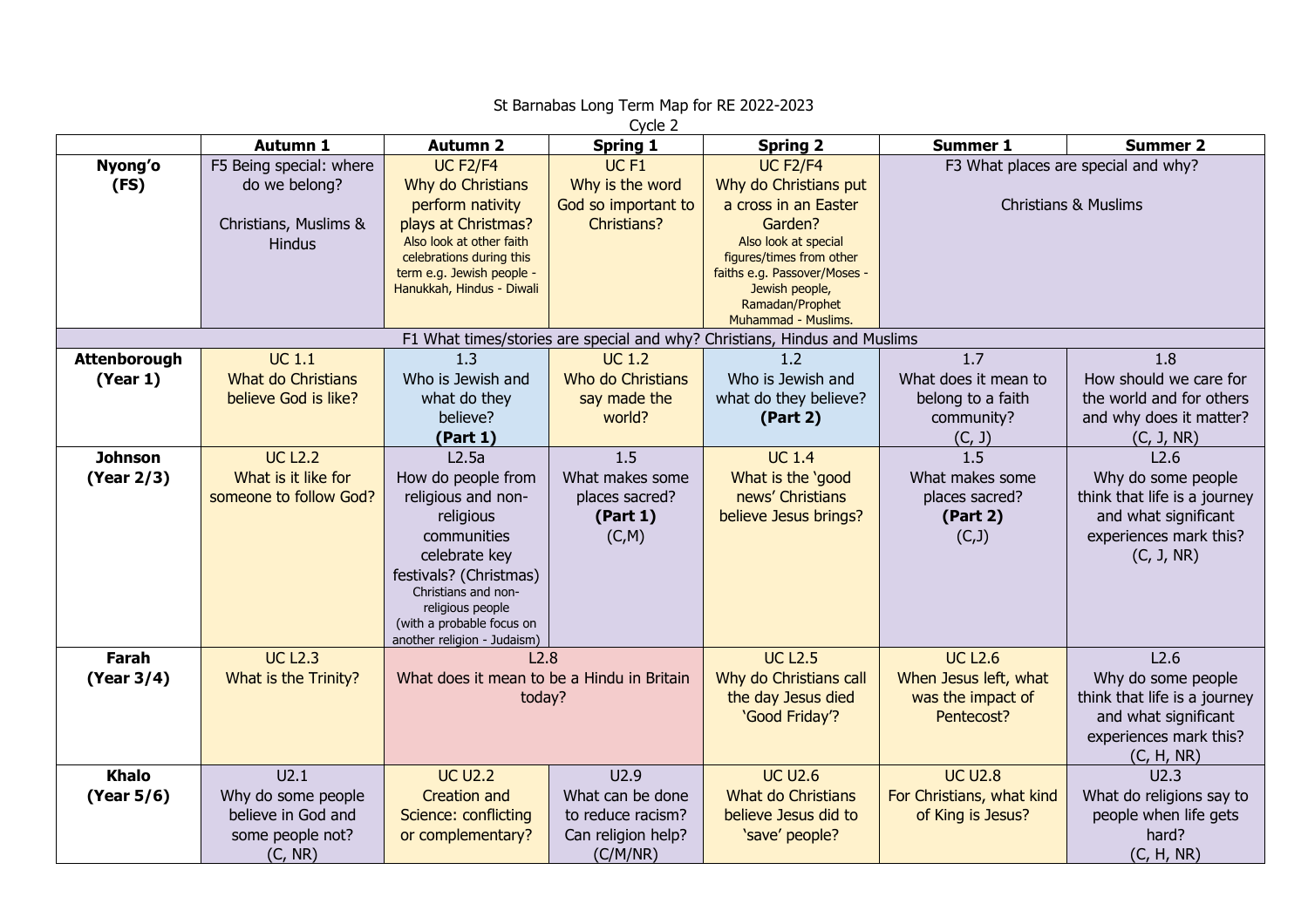| Cycle 2                                                                   |                                                                                    |                                                                                                                                                                                                                        |                                                                                  |                                                                                                                                                                                                                             |                                                                            |                                                                                                                            |  |  |  |  |
|---------------------------------------------------------------------------|------------------------------------------------------------------------------------|------------------------------------------------------------------------------------------------------------------------------------------------------------------------------------------------------------------------|----------------------------------------------------------------------------------|-----------------------------------------------------------------------------------------------------------------------------------------------------------------------------------------------------------------------------|----------------------------------------------------------------------------|----------------------------------------------------------------------------------------------------------------------------|--|--|--|--|
|                                                                           | <b>Autumn 1</b>                                                                    | <b>Autumn 2</b>                                                                                                                                                                                                        | <b>Spring 1</b>                                                                  | <b>Spring 2</b>                                                                                                                                                                                                             | <b>Summer 1</b>                                                            | <b>Summer 2</b>                                                                                                            |  |  |  |  |
| Nyong'o<br>(FS)                                                           | F5 Being special: where<br>do we belong?<br>Christians, Muslims &<br><b>Hindus</b> | <b>UC F2/F4</b><br>Why do Christians<br>perform nativity<br>plays at Christmas?<br>Also look at other faith<br>celebrations during this<br>term e.g. Jewish people -<br>Hanukkah, Hindus - Diwali                      | UC <sub>F1</sub><br>Why is the word<br>God so important to<br><b>Christians?</b> | <b>UC F2/F4</b><br>Why do Christians put<br>a cross in an Easter<br>Garden?<br>Also look at special<br>figures/times from other<br>faiths e.g. Passover/Moses -<br>Jewish people,<br>Ramadan/Prophet<br>Muhammad - Muslims. | F3 What places are special and why?<br><b>Christians &amp; Muslims</b>     |                                                                                                                            |  |  |  |  |
| F1 What times/stories are special and why? Christians, Hindus and Muslims |                                                                                    |                                                                                                                                                                                                                        |                                                                                  |                                                                                                                                                                                                                             |                                                                            |                                                                                                                            |  |  |  |  |
| Attenborough<br>(Year 1)                                                  | <b>UC 1.1</b><br><b>What do Christians</b><br>believe God is like?                 | 1.3<br>Who is Jewish and<br>what do they<br>believe?<br>(Part 1)                                                                                                                                                       | <b>UC 1.2</b><br>Who do Christians<br>say made the<br>world?                     | 1.2<br>Who is Jewish and<br>what do they believe?<br>(Part 2)                                                                                                                                                               | 1.7<br>What does it mean to<br>belong to a faith<br>community?<br>(C, J)   | 1.8<br>How should we care for<br>the world and for others<br>and why does it matter?<br>(C, J, NR)                         |  |  |  |  |
| <b>Johnson</b>                                                            | <b>UC L2.2</b>                                                                     | L2.5a                                                                                                                                                                                                                  | 1.5                                                                              | <b>UC 1.4</b>                                                                                                                                                                                                               | $\frac{1}{1.5}$                                                            | L2.6                                                                                                                       |  |  |  |  |
| (Year 2/3)                                                                | What is it like for<br>someone to follow God?                                      | How do people from<br>religious and non-<br>religious<br>communities<br>celebrate key<br>festivals? (Christmas)<br>Christians and non-<br>religious people<br>(with a probable focus on<br>another religion - Judaism) | What makes some<br>places sacred?<br>(Part 1)<br>(C,M)                           | What is the 'good<br>news' Christians<br>believe Jesus brings?                                                                                                                                                              | What makes some<br>places sacred?<br>(Part 2)<br>(C, J)                    | Why do some people<br>think that life is a journey<br>and what significant<br>experiences mark this?<br>(C, J, NR)         |  |  |  |  |
| Farah<br>(Year 3/4)                                                       | <b>UC L2.3</b><br>What is the Trinity?                                             | L2.8<br>What does it mean to be a Hindu in Britain<br>today?                                                                                                                                                           |                                                                                  | <b>UC L2.5</b><br>Why do Christians call<br>the day Jesus died<br>'Good Friday'?                                                                                                                                            | <b>UC L2.6</b><br>When Jesus left, what<br>was the impact of<br>Pentecost? | L2.6<br>Why do some people<br>think that life is a journey<br>and what significant<br>experiences mark this?<br>(C, H, NR) |  |  |  |  |
| <b>Khalo</b><br>(Year 5/6)                                                | U2.1<br>Why do some people<br>believe in God and<br>some people not?<br>(C, NR)    | <b>UC U2.2</b><br><b>Creation and</b><br>Science: conflicting<br>or complementary?                                                                                                                                     | U2.9<br>What can be done<br>to reduce racism?<br>Can religion help?<br>(C/M/NR)  | <b>UC U2.6</b><br><b>What do Christians</b><br>believe Jesus did to<br>'save' people?                                                                                                                                       | <b>UC U2.8</b><br>For Christians, what kind<br>of King is Jesus?           | U2.3<br>What do religions say to<br>people when life gets<br>hard?<br>(C, H, NR)                                           |  |  |  |  |

## St Barnabas Long Term Map for RE 2022-2023